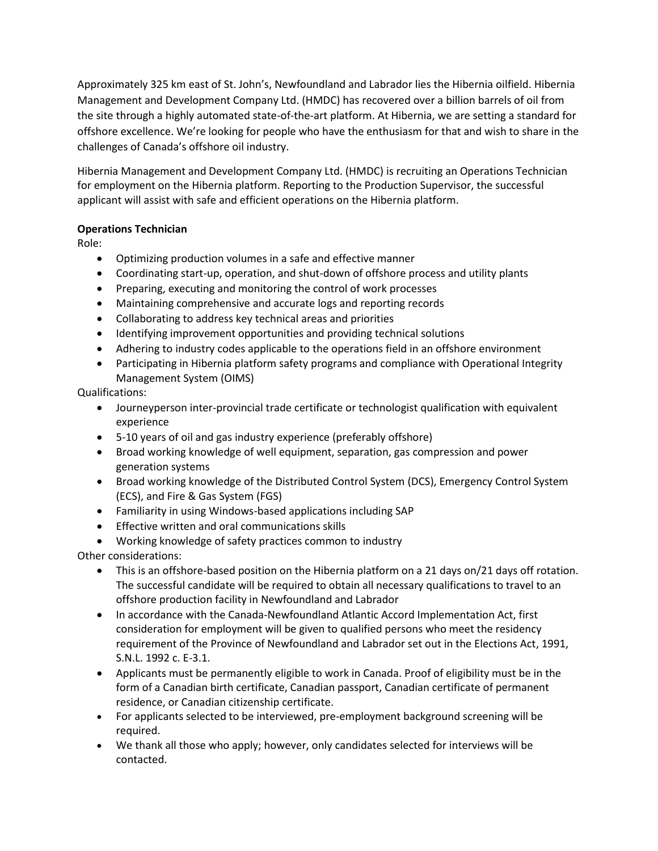Approximately 325 km east of St. John's, Newfoundland and Labrador lies the Hibernia oilfield. Hibernia Management and Development Company Ltd. (HMDC) has recovered over a billion barrels of oil from the site through a highly automated state-of-the-art platform. At Hibernia, we are setting a standard for offshore excellence. We're looking for people who have the enthusiasm for that and wish to share in the challenges of Canada's offshore oil industry.

Hibernia Management and Development Company Ltd. (HMDC) is recruiting an Operations Technician for employment on the Hibernia platform. Reporting to the Production Supervisor, the successful applicant will assist with safe and efficient operations on the Hibernia platform.

## **Operations Technician**

Role:

- Optimizing production volumes in a safe and effective manner
- Coordinating start-up, operation, and shut-down of offshore process and utility plants
- Preparing, executing and monitoring the control of work processes
- Maintaining comprehensive and accurate logs and reporting records
- Collaborating to address key technical areas and priorities
- Identifying improvement opportunities and providing technical solutions
- Adhering to industry codes applicable to the operations field in an offshore environment
- Participating in Hibernia platform safety programs and compliance with Operational Integrity Management System (OIMS)

Qualifications:

- Journeyperson inter-provincial trade certificate or technologist qualification with equivalent experience
- 5-10 years of oil and gas industry experience (preferably offshore)
- Broad working knowledge of well equipment, separation, gas compression and power generation systems
- Broad working knowledge of the Distributed Control System (DCS), Emergency Control System (ECS), and Fire & Gas System (FGS)
- Familiarity in using Windows-based applications including SAP
- Effective written and oral communications skills
- Working knowledge of safety practices common to industry

Other considerations:

- This is an offshore-based position on the Hibernia platform on a 21 days on/21 days off rotation. The successful candidate will be required to obtain all necessary qualifications to travel to an offshore production facility in Newfoundland and Labrador
- In accordance with the Canada-Newfoundland Atlantic Accord Implementation Act, first consideration for employment will be given to qualified persons who meet the residency requirement of the Province of Newfoundland and Labrador set out in the Elections Act, 1991, S.N.L. 1992 c. E-3.1.
- Applicants must be permanently eligible to work in Canada. Proof of eligibility must be in the form of a Canadian birth certificate, Canadian passport, Canadian certificate of permanent residence, or Canadian citizenship certificate.
- For applicants selected to be interviewed, pre-employment background screening will be required.
- We thank all those who apply; however, only candidates selected for interviews will be contacted.